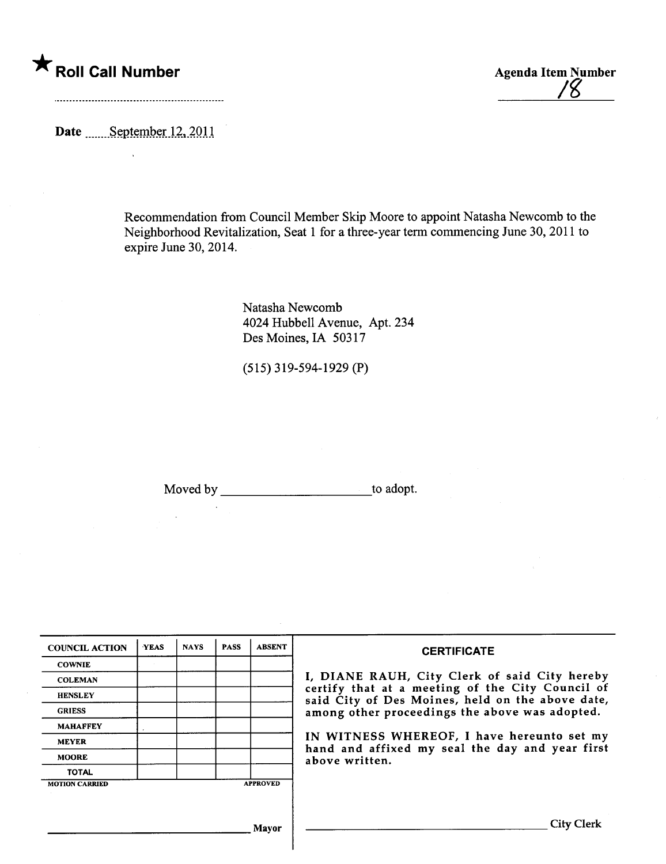# \* Roll Call Number Agenda Item Number

It¿

Date .......September 12, 2011

Recommendation from Council Member Skip Moore to appoint Natasha Newcomb to the Neighborhood Revitalization, Seat 1 for a three-year term commencing June 30, 2011 to expire June 30, 2014.

> Natasha Newcomb 4024 Hubbell Avenue, Apt. 234 Des Moines, IA 50317

(515) 319-594-1929 (P)

Moved by to adopt.

| <b>COUNCIL ACTION</b> | <b>YEAS</b> | <b>NAYS</b> | <b>PASS</b> | <b>ABSENT</b>   | <b>CERTIFICATE</b>                                                                                                                                                                                                                                                                                                         |
|-----------------------|-------------|-------------|-------------|-----------------|----------------------------------------------------------------------------------------------------------------------------------------------------------------------------------------------------------------------------------------------------------------------------------------------------------------------------|
| <b>COWNIE</b>         |             |             |             |                 | I, DIANE RAUH, City Clerk of said City hereby<br>certify that at a meeting of the City Council of<br>said City of Des Moines, held on the above date,<br>among other proceedings the above was adopted.<br>IN WITNESS WHEREOF, I have hereunto set my<br>hand and affixed my seal the day and year first<br>above written. |
| <b>COLEMAN</b>        |             |             |             |                 |                                                                                                                                                                                                                                                                                                                            |
| <b>HENSLEY</b>        |             |             |             |                 |                                                                                                                                                                                                                                                                                                                            |
| <b>GRIESS</b>         |             |             |             |                 |                                                                                                                                                                                                                                                                                                                            |
| <b>MAHAFFEY</b>       |             |             |             |                 |                                                                                                                                                                                                                                                                                                                            |
| <b>MEYER</b>          |             |             |             |                 |                                                                                                                                                                                                                                                                                                                            |
| <b>MOORE</b>          |             |             |             |                 |                                                                                                                                                                                                                                                                                                                            |
| <b>TOTAL</b>          |             |             |             |                 |                                                                                                                                                                                                                                                                                                                            |
| <b>MOTION CARRIED</b> |             |             |             | <b>APPROVED</b> |                                                                                                                                                                                                                                                                                                                            |
|                       |             |             |             |                 |                                                                                                                                                                                                                                                                                                                            |
|                       |             |             |             | Mavor           | City (                                                                                                                                                                                                                                                                                                                     |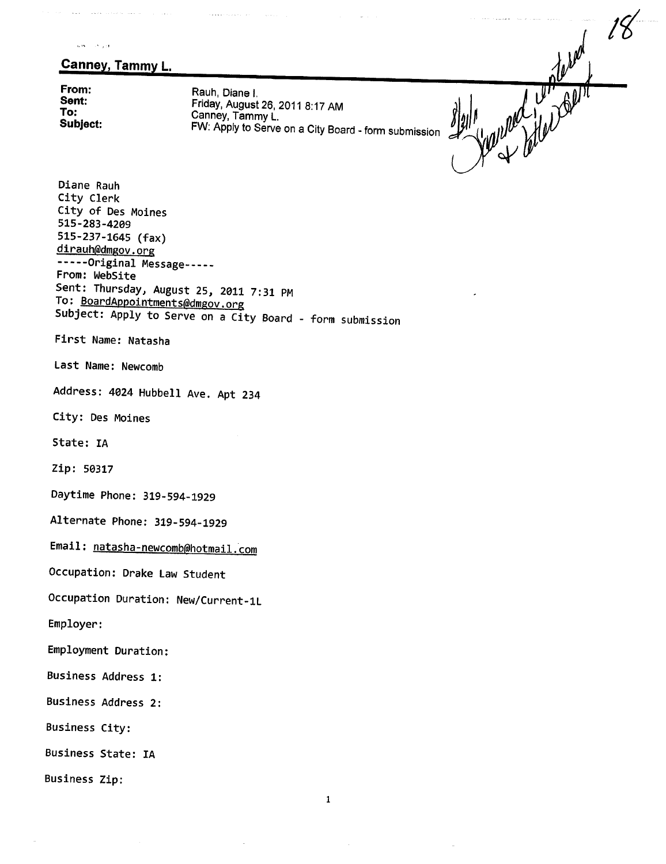,.",., .' ,:J

## Canney, Tammy L.

state and state and

. . . . . . . . . . . . . . .

From: Sent: To: Subject:

Rauh, Diane i. Friday, August 26,2011 8:17 AM Canney, Tammy L. FW: Apply to Serve on a City Board - form submission

il for the file of the world of the

Diane Rauh City Clerk City of Des Moines 515-283-4209 515-237-1645 (fax) dirauh@dmgov.org ------Original Message-----From: WebSite Sent: Thursday, August 25, 2011 7:31 PM To: BoardAppointments@dmgov.org Subject: Apply to Serve on a City Board - form submission First Name: Natasha Last Name: Newcomb Address: 4024 Hubbell Ave. Apt 234 City: Des Moines State: IA Zip: 50317 Daytime Phone: 319-594-1929 Alternate Phone: 319-594-1929 Email: natasha-newcomb@hotmail.com Occupation: Drake Law Student Occupation Duration: New/Current-1L Employer: Employment Duration: Business Address 1: Business Address 2: Business City: Business State: IA Business Zip: 1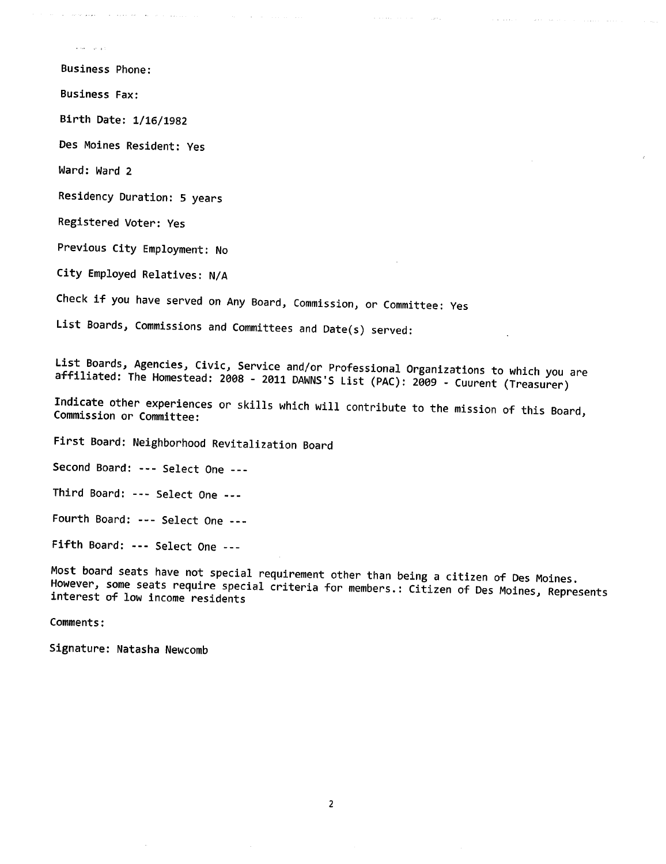**Service Service** 

Business Phone:

Business Fax:

Birth Date: 1/16/1982

Des Moines Resident: Yes

asked the component special con-

Ward: Ward 2

Residency Duration: 5 years

Registered Voter: Yes

Previous City Employment: No

City Employed Relatives: N/A

Check if you have served on Any Board, Commission, or Committee: Yes

List Boards, Commissions and Committees and Date(s) served:

List Boards, Agencies, Civic, Service and/or Professional Organizations to which you are affiliated: The Homestead: 2008 - 2011 DAWNS'S List (PAC): 2009 - Cuurent (Treasurer)

 $\sim 100$  km  $^{-1}$ 

 $\sim$  1000  $\mu$ 

Indicate other experiences or skills which will contribute to the mission of this Board, Commission or Committee:

First Board: Neighborhood Revitalization Board

Second Board: --- Select One ---

Third Board: --- Select One ---

Fourth Board: --- Select One ---

Fifth Board: --- Select One ---

Most board seats have not special requirement other than being a citizen of Des Moines. However, some seats require special criteria for members.: Citizen of Des Moines, Represents interest of low income residents

Comments:

Signature: Natasha Newcomb